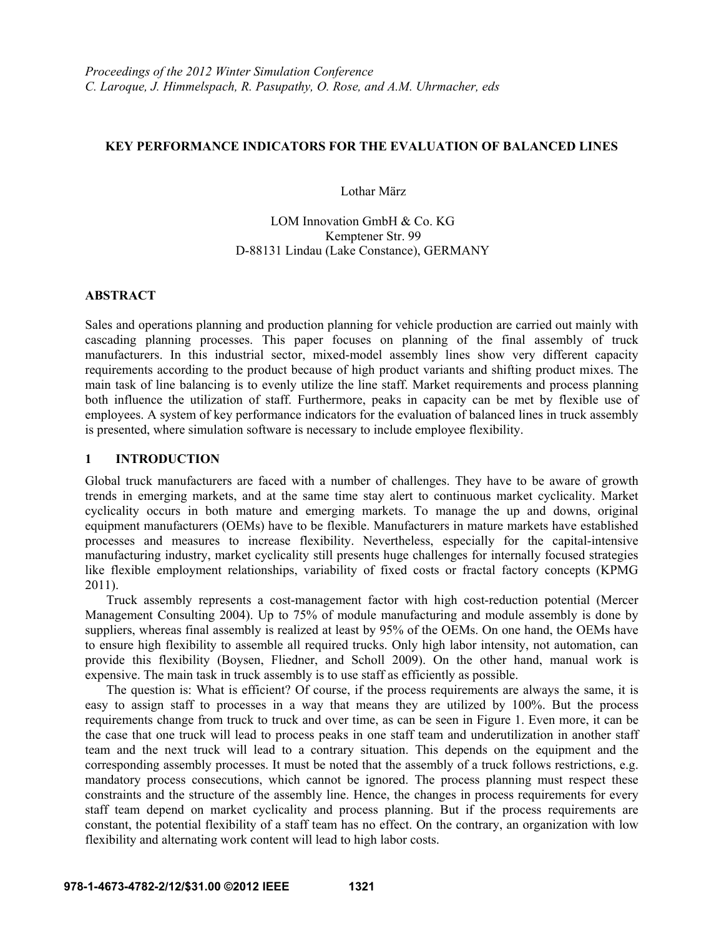## **KEY PERFORMANCE INDICATORS FOR THE EVALUATION OF BALANCED LINES**

Lothar März

# LOM Innovation GmbH & Co. KG Kemptener Str. 99 D-88131 Lindau (Lake Constance), GERMANY

# **ABSTRACT**

Sales and operations planning and production planning for vehicle production are carried out mainly with cascading planning processes. This paper focuses on planning of the final assembly of truck manufacturers. In this industrial sector, mixed-model assembly lines show very different capacity requirements according to the product because of high product variants and shifting product mixes. The main task of line balancing is to evenly utilize the line staff. Market requirements and process planning both influence the utilization of staff. Furthermore, peaks in capacity can be met by flexible use of employees. A system of key performance indicators for the evaluation of balanced lines in truck assembly is presented, where simulation software is necessary to include employee flexibility.

# **1 INTRODUCTION**

Global truck manufacturers are faced with a number of challenges. They have to be aware of growth trends in emerging markets, and at the same time stay alert to continuous market cyclicality. Market cyclicality occurs in both mature and emerging markets. To manage the up and downs, original equipment manufacturers (OEMs) have to be flexible. Manufacturers in mature markets have established processes and measures to increase flexibility. Nevertheless, especially for the capital-intensive manufacturing industry, market cyclicality still presents huge challenges for internally focused strategies like flexible employment relationships, variability of fixed costs or fractal factory concepts (KPMG 2011).

Truck assembly represents a cost-management factor with high cost-reduction potential (Mercer Management Consulting 2004). Up to 75% of module manufacturing and module assembly is done by suppliers, whereas final assembly is realized at least by 95% of the OEMs. On one hand, the OEMs have to ensure high flexibility to assemble all required trucks. Only high labor intensity, not automation, can provide this flexibility (Boysen, Fliedner, and Scholl 2009). On the other hand, manual work is expensive. The main task in truck assembly is to use staff as efficiently as possible.

The question is: What is efficient? Of course, if the process requirements are always the same, it is easy to assign staff to processes in a way that means they are utilized by 100%. But the process requirements change from truck to truck and over time, as can be seen in Figure 1. Even more, it can be the case that one truck will lead to process peaks in one staff team and underutilization in another staff team and the next truck will lead to a contrary situation. This depends on the equipment and the corresponding assembly processes. It must be noted that the assembly of a truck follows restrictions, e.g. mandatory process consecutions, which cannot be ignored. The process planning must respect these constraints and the structure of the assembly line. Hence, the changes in process requirements for every staff team depend on market cyclicality and process planning. But if the process requirements are constant, the potential flexibility of a staff team has no effect. On the contrary, an organization with low flexibility and alternating work content will lead to high labor costs.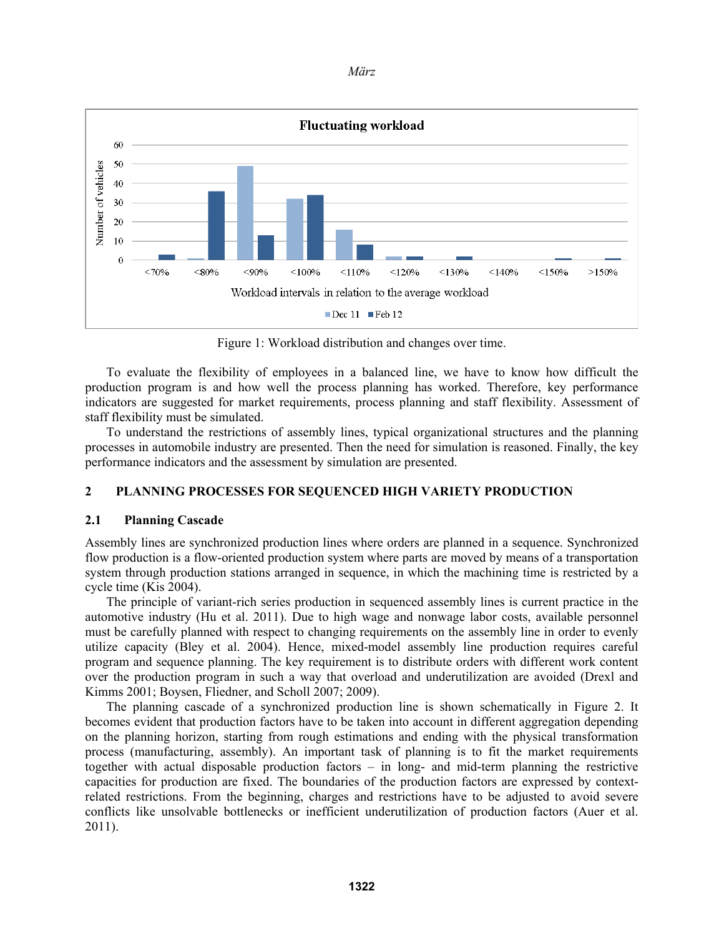

Figure 1: Workload distribution and changes over time.

To evaluate the flexibility of employees in a balanced line, we have to know how difficult the production program is and how well the process planning has worked. Therefore, key performance indicators are suggested for market requirements, process planning and staff flexibility. Assessment of staff flexibility must be simulated.

To understand the restrictions of assembly lines, typical organizational structures and the planning processes in automobile industry are presented. Then the need for simulation is reasoned. Finally, the key performance indicators and the assessment by simulation are presented.

# **2 PLANNING PROCESSES FOR SEQUENCED HIGH VARIETY PRODUCTION**

## **2.1 Planning Cascade**

Assembly lines are synchronized production lines where orders are planned in a sequence. Synchronized flow production is a flow-oriented production system where parts are moved by means of a transportation system through production stations arranged in sequence, in which the machining time is restricted by a cycle time (Kis 2004).

The principle of variant-rich series production in sequenced assembly lines is current practice in the automotive industry (Hu et al. 2011). Due to high wage and nonwage labor costs, available personnel must be carefully planned with respect to changing requirements on the assembly line in order to evenly utilize capacity (Bley et al. 2004). Hence, mixed-model assembly line production requires careful program and sequence planning. The key requirement is to distribute orders with different work content over the production program in such a way that overload and underutilization are avoided (Drexl and Kimms 2001; Boysen, Fliedner, and Scholl 2007; 2009).

The planning cascade of a synchronized production line is shown schematically in Figure 2. It becomes evident that production factors have to be taken into account in different aggregation depending on the planning horizon, starting from rough estimations and ending with the physical transformation process (manufacturing, assembly). An important task of planning is to fit the market requirements together with actual disposable production factors – in long- and mid-term planning the restrictive capacities for production are fixed. The boundaries of the production factors are expressed by contextrelated restrictions. From the beginning, charges and restrictions have to be adjusted to avoid severe conflicts like unsolvable bottlenecks or inefficient underutilization of production factors (Auer et al. 2011).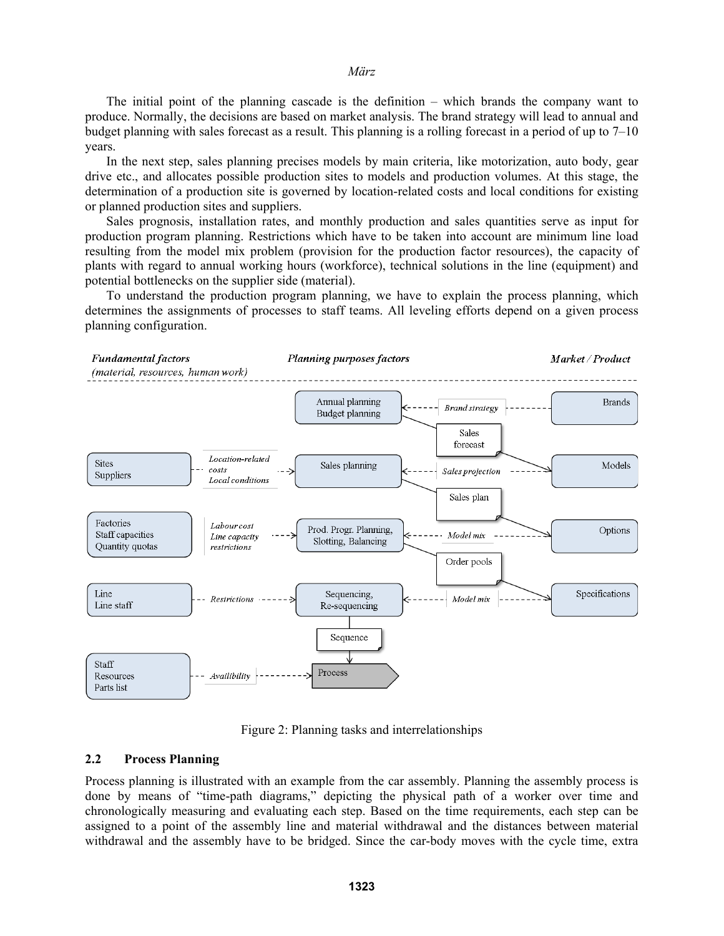The initial point of the planning cascade is the definition – which brands the company want to produce. Normally, the decisions are based on market analysis. The brand strategy will lead to annual and budget planning with sales forecast as a result. This planning is a rolling forecast in a period of up to 7–10 years.

In the next step, sales planning precises models by main criteria, like motorization, auto body, gear drive etc., and allocates possible production sites to models and production volumes. At this stage, the determination of a production site is governed by location-related costs and local conditions for existing or planned production sites and suppliers.

Sales prognosis, installation rates, and monthly production and sales quantities serve as input for production program planning. Restrictions which have to be taken into account are minimum line load resulting from the model mix problem (provision for the production factor resources), the capacity of plants with regard to annual working hours (workforce), technical solutions in the line (equipment) and potential bottlenecks on the supplier side (material).

To understand the production program planning, we have to explain the process planning, which determines the assignments of processes to staff teams. All leveling efforts depend on a given process planning configuration.



Figure 2: Planning tasks and interrelationships

### **2.2 Process Planning**

Process planning is illustrated with an example from the car assembly. Planning the assembly process is done by means of "time-path diagrams," depicting the physical path of a worker over time and chronologically measuring and evaluating each step. Based on the time requirements, each step can be assigned to a point of the assembly line and material withdrawal and the distances between material withdrawal and the assembly have to be bridged. Since the car-body moves with the cycle time, extra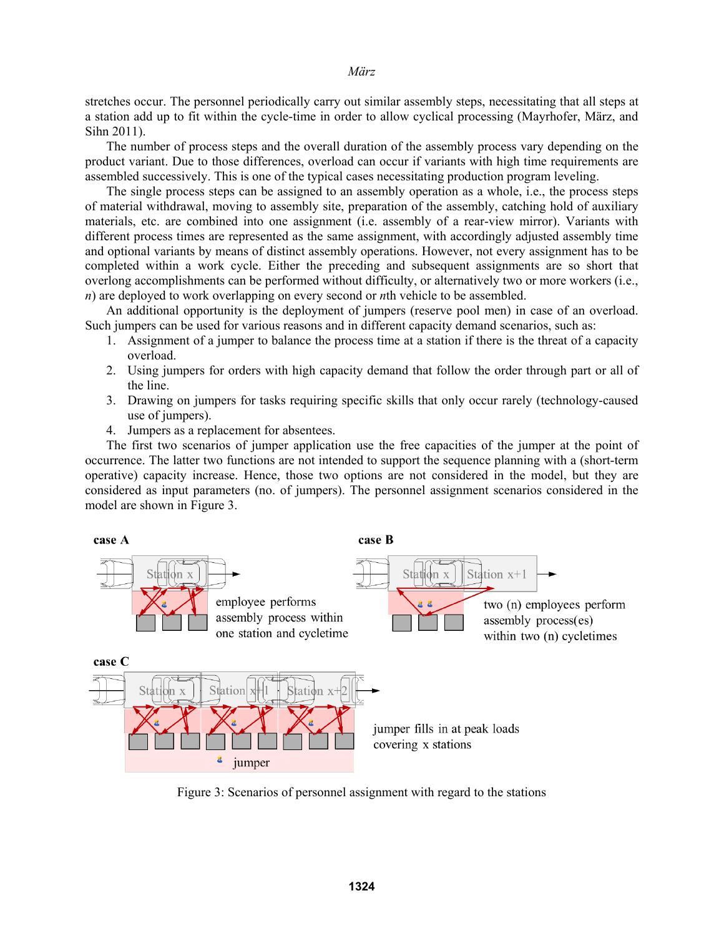stretches occur. The personnel periodically carry out similar assembly steps, necessitating that all steps at a station add up to fit within the cycle-time in order to allow cyclical processing (Mayrhofer, März, and Sihn 2011).

The number of process steps and the overall duration of the assembly process vary depending on the product variant. Due to those differences, overload can occur if variants with high time requirements are assembled successively. This is one of the typical cases necessitating production program leveling.

The single process steps can be assigned to an assembly operation as a whole, i.e., the process steps of material withdrawal, moving to assembly site, preparation of the assembly, catching hold of auxiliary materials, etc. are combined into one assignment (i.e. assembly of a rear-view mirror). Variants with different process times are represented as the same assignment, with accordingly adjusted assembly time and optional variants by means of distinct assembly operations. However, not every assignment has to be completed within a work cycle. Either the preceding and subsequent assignments are so short that overlong accomplishments can be performed without difficulty, or alternatively two or more workers (i.e., *n*) are deployed to work overlapping on every second or *n*th vehicle to be assembled.

An additional opportunity is the deployment of jumpers (reserve pool men) in case of an overload. Such jumpers can be used for various reasons and in different capacity demand scenarios, such as:

- 1. Assignment of a jumper to balance the process time at a station if there is the threat of a capacity overload.
- 2. Using jumpers for orders with high capacity demand that follow the order through part or all of the line.
- 3. Drawing on jumpers for tasks requiring specific skills that only occur rarely (technology-caused use of jumpers).
- 4. Jumpers as a replacement for absentees.

The first two scenarios of jumper application use the free capacities of the jumper at the point of occurrence. The latter two functions are not intended to support the sequence planning with a (short-term operative) capacity increase. Hence, those two options are not considered in the model, but they are considered as input parameters (no. of jumpers). The personnel assignment scenarios considered in the model are shown in Figure 3.



Figure 3: Scenarios of personnel assignment with regard to the stations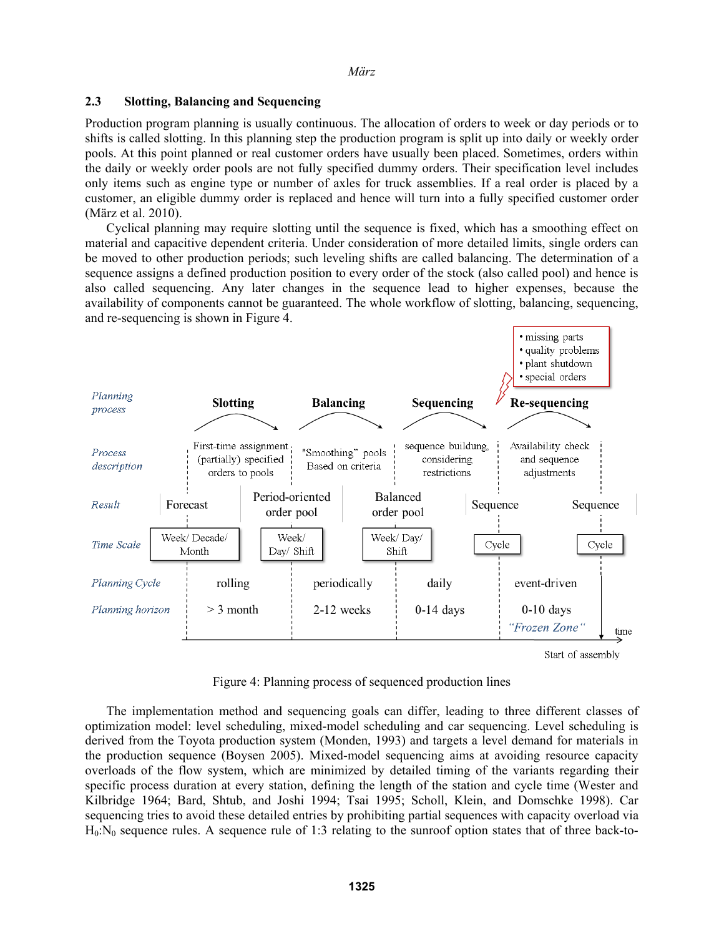### **2.3 Slotting, Balancing and Sequencing**

Production program planning is usually continuous. The allocation of orders to week or day periods or to shifts is called slotting. In this planning step the production program is split up into daily or weekly order pools. At this point planned or real customer orders have usually been placed. Sometimes, orders within the daily or weekly order pools are not fully specified dummy orders. Their specification level includes only items such as engine type or number of axles for truck assemblies. If a real order is placed by a customer, an eligible dummy order is replaced and hence will turn into a fully specified customer order (März et al. 2010).

Cyclical planning may require slotting until the sequence is fixed, which has a smoothing effect on material and capacitive dependent criteria. Under consideration of more detailed limits, single orders can be moved to other production periods; such leveling shifts are called balancing. The determination of a sequence assigns a defined production position to every order of the stock (also called pool) and hence is also called sequencing. Any later changes in the sequence lead to higher expenses, because the availability of components cannot be guaranteed. The whole workflow of slotting, balancing, sequencing, and re-sequencing is shown in Figure 4.



Start of assembly

Figure 4: Planning process of sequenced production lines

The implementation method and sequencing goals can differ, leading to three different classes of optimization model: level scheduling, mixed-model scheduling and car sequencing. Level scheduling is derived from the Toyota production system (Monden, 1993) and targets a level demand for materials in the production sequence (Boysen 2005). Mixed-model sequencing aims at avoiding resource capacity overloads of the flow system, which are minimized by detailed timing of the variants regarding their specific process duration at every station, defining the length of the station and cycle time (Wester and Kilbridge 1964; Bard, Shtub, and Joshi 1994; Tsai 1995; Scholl, Klein, and Domschke 1998). Car sequencing tries to avoid these detailed entries by prohibiting partial sequences with capacity overload via  $H_0:N_0$  sequence rules. A sequence rule of 1:3 relating to the sunroof option states that of three back-to-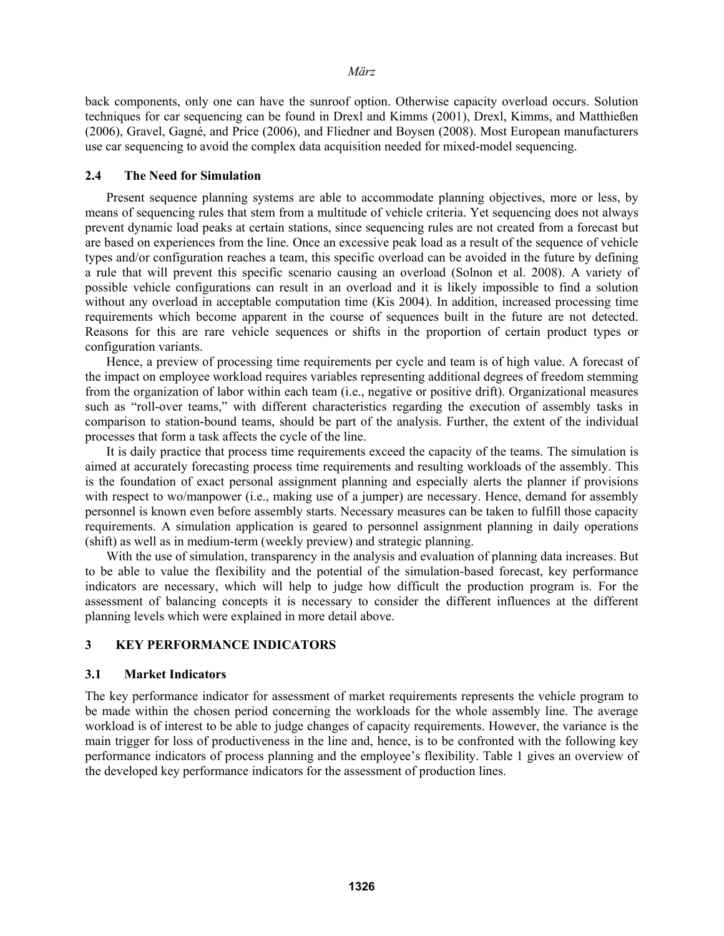back components, only one can have the sunroof option. Otherwise capacity overload occurs. Solution techniques for car sequencing can be found in Drexl and Kimms (2001), Drexl, Kimms, and Matthießen (2006), Gravel, Gagné, and Price (2006), and Fliedner and Boysen (2008). Most European manufacturers use car sequencing to avoid the complex data acquisition needed for mixed-model sequencing.

### **2.4 The Need for Simulation**

Present sequence planning systems are able to accommodate planning objectives, more or less, by means of sequencing rules that stem from a multitude of vehicle criteria. Yet sequencing does not always prevent dynamic load peaks at certain stations, since sequencing rules are not created from a forecast but are based on experiences from the line. Once an excessive peak load as a result of the sequence of vehicle types and/or configuration reaches a team, this specific overload can be avoided in the future by defining a rule that will prevent this specific scenario causing an overload (Solnon et al. 2008). A variety of possible vehicle configurations can result in an overload and it is likely impossible to find a solution without any overload in acceptable computation time (Kis 2004). In addition, increased processing time requirements which become apparent in the course of sequences built in the future are not detected. Reasons for this are rare vehicle sequences or shifts in the proportion of certain product types or configuration variants.

Hence, a preview of processing time requirements per cycle and team is of high value. A forecast of the impact on employee workload requires variables representing additional degrees of freedom stemming from the organization of labor within each team (i.e., negative or positive drift). Organizational measures such as "roll-over teams," with different characteristics regarding the execution of assembly tasks in comparison to station-bound teams, should be part of the analysis. Further, the extent of the individual processes that form a task affects the cycle of the line.

It is daily practice that process time requirements exceed the capacity of the teams. The simulation is aimed at accurately forecasting process time requirements and resulting workloads of the assembly. This is the foundation of exact personal assignment planning and especially alerts the planner if provisions with respect to wo/manpower (i.e., making use of a jumper) are necessary. Hence, demand for assembly personnel is known even before assembly starts. Necessary measures can be taken to fulfill those capacity requirements. A simulation application is geared to personnel assignment planning in daily operations (shift) as well as in medium-term (weekly preview) and strategic planning.

With the use of simulation, transparency in the analysis and evaluation of planning data increases. But to be able to value the flexibility and the potential of the simulation-based forecast, key performance indicators are necessary, which will help to judge how difficult the production program is. For the assessment of balancing concepts it is necessary to consider the different influences at the different planning levels which were explained in more detail above.

#### **3 KEY PERFORMANCE INDICATORS**

#### **3.1 Market Indicators**

The key performance indicator for assessment of market requirements represents the vehicle program to be made within the chosen period concerning the workloads for the whole assembly line. The average workload is of interest to be able to judge changes of capacity requirements. However, the variance is the main trigger for loss of productiveness in the line and, hence, is to be confronted with the following key performance indicators of process planning and the employee's flexibility. Table 1 gives an overview of the developed key performance indicators for the assessment of production lines.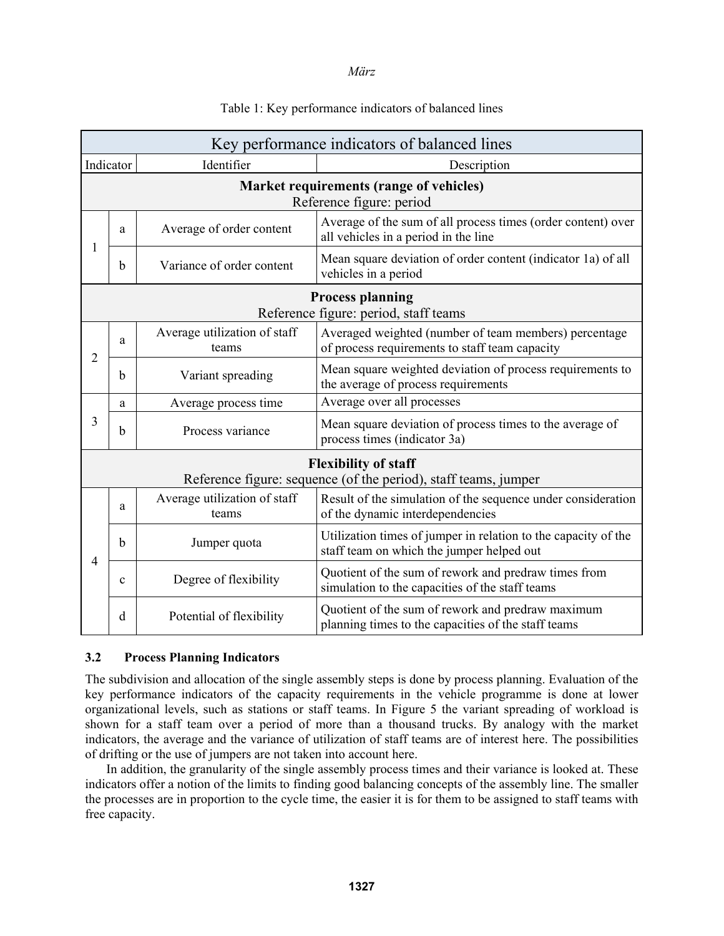| Key performance indicators of balanced lines                        |             |                                       |                                                                                                             |
|---------------------------------------------------------------------|-------------|---------------------------------------|-------------------------------------------------------------------------------------------------------------|
| Indicator                                                           |             | Identifier                            | Description                                                                                                 |
| Market requirements (range of vehicles)<br>Reference figure: period |             |                                       |                                                                                                             |
| 1                                                                   | a           | Average of order content              | Average of the sum of all process times (order content) over<br>all vehicles in a period in the line        |
|                                                                     | b           | Variance of order content             | Mean square deviation of order content (indicator 1a) of all<br>vehicles in a period                        |
| <b>Process planning</b><br>Reference figure: period, staff teams    |             |                                       |                                                                                                             |
| 2                                                                   | a           | Average utilization of staff<br>teams | Averaged weighted (number of team members) percentage<br>of process requirements to staff team capacity     |
|                                                                     | b           | Variant spreading                     | Mean square weighted deviation of process requirements to<br>the average of process requirements            |
| 3                                                                   | a           | Average process time                  | Average over all processes                                                                                  |
|                                                                     | $\mathbf b$ | Process variance                      | Mean square deviation of process times to the average of<br>process times (indicator 3a)                    |
| <b>Flexibility of staff</b>                                         |             |                                       |                                                                                                             |
| Reference figure: sequence (of the period), staff teams, jumper     |             |                                       |                                                                                                             |
| $\overline{4}$                                                      | a           | Average utilization of staff<br>teams | Result of the simulation of the sequence under consideration<br>of the dynamic interdependencies            |
|                                                                     | b           | Jumper quota                          | Utilization times of jumper in relation to the capacity of the<br>staff team on which the jumper helped out |
|                                                                     | $\mathbf c$ | Degree of flexibility                 | Quotient of the sum of rework and predraw times from<br>simulation to the capacities of the staff teams     |
|                                                                     | d           | Potential of flexibility              | Quotient of the sum of rework and predraw maximum<br>planning times to the capacities of the staff teams    |

# Table 1: Key performance indicators of balanced lines

## **3.2 Process Planning Indicators**

The subdivision and allocation of the single assembly steps is done by process planning. Evaluation of the key performance indicators of the capacity requirements in the vehicle programme is done at lower organizational levels, such as stations or staff teams. In Figure 5 the variant spreading of workload is shown for a staff team over a period of more than a thousand trucks. By analogy with the market indicators, the average and the variance of utilization of staff teams are of interest here. The possibilities of drifting or the use of jumpers are not taken into account here.

In addition, the granularity of the single assembly process times and their variance is looked at. These indicators offer a notion of the limits to finding good balancing concepts of the assembly line. The smaller the processes are in proportion to the cycle time, the easier it is for them to be assigned to staff teams with free capacity.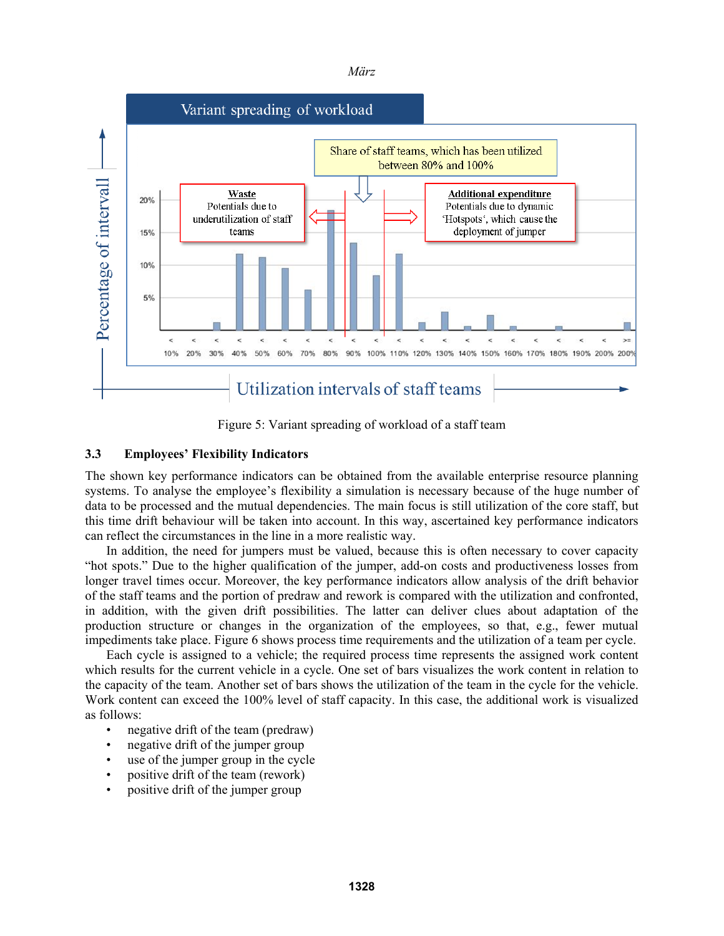



Figure 5: Variant spreading of workload of a staff team

# **3.3 Employees' Flexibility Indicators**

The shown key performance indicators can be obtained from the available enterprise resource planning systems. To analyse the employee's flexibility a simulation is necessary because of the huge number of data to be processed and the mutual dependencies. The main focus is still utilization of the core staff, but this time drift behaviour will be taken into account. In this way, ascertained key performance indicators can reflect the circumstances in the line in a more realistic way.

In addition, the need for jumpers must be valued, because this is often necessary to cover capacity "hot spots." Due to the higher qualification of the jumper, add-on costs and productiveness losses from longer travel times occur. Moreover, the key performance indicators allow analysis of the drift behavior of the staff teams and the portion of predraw and rework is compared with the utilization and confronted, in addition, with the given drift possibilities. The latter can deliver clues about adaptation of the production structure or changes in the organization of the employees, so that, e.g., fewer mutual impediments take place. Figure 6 shows process time requirements and the utilization of a team per cycle.

Each cycle is assigned to a vehicle; the required process time represents the assigned work content which results for the current vehicle in a cycle. One set of bars visualizes the work content in relation to the capacity of the team. Another set of bars shows the utilization of the team in the cycle for the vehicle. Work content can exceed the 100% level of staff capacity. In this case, the additional work is visualized as follows:

- negative drift of the team (predraw)
- negative drift of the jumper group
- use of the jumper group in the cycle
- positive drift of the team (rework)
- positive drift of the jumper group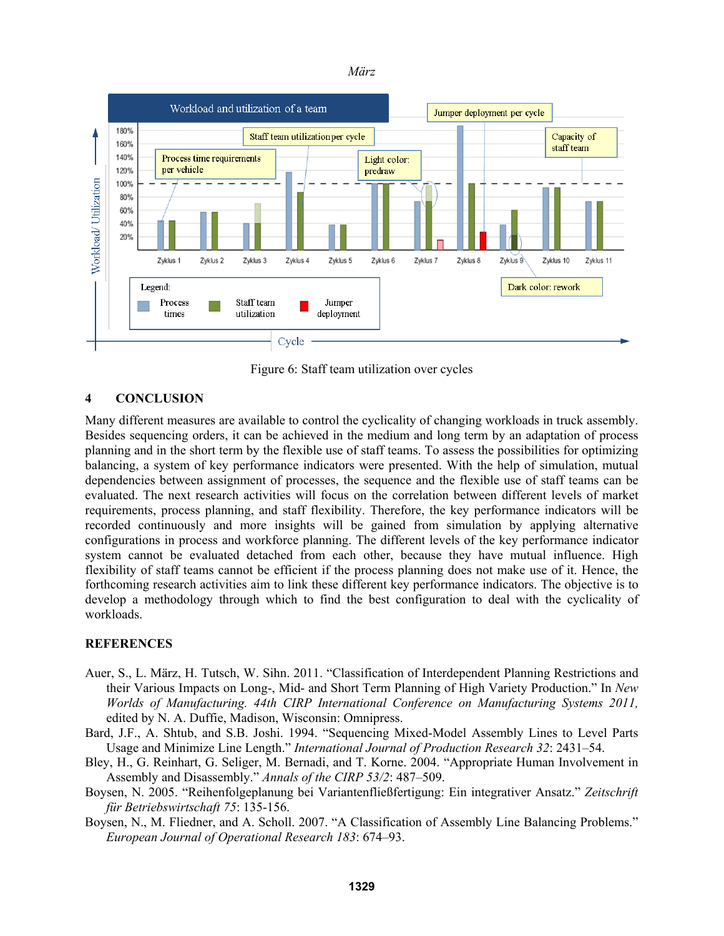



Figure 6: Staff team utilization over cycles

## **4 CONCLUSION**

Many different measures are available to control the cyclicality of changing workloads in truck assembly. Besides sequencing orders, it can be achieved in the medium and long term by an adaptation of process planning and in the short term by the flexible use of staff teams. To assess the possibilities for optimizing balancing, a system of key performance indicators were presented. With the help of simulation, mutual dependencies between assignment of processes, the sequence and the flexible use of staff teams can be evaluated. The next research activities will focus on the correlation between different levels of market requirements, process planning, and staff flexibility. Therefore, the key performance indicators will be recorded continuously and more insights will be gained from simulation by applying alternative configurations in process and workforce planning. The different levels of the key performance indicator system cannot be evaluated detached from each other, because they have mutual influence. High flexibility of staff teams cannot be efficient if the process planning does not make use of it. Hence, the forthcoming research activities aim to link these different key performance indicators. The objective is to develop a methodology through which to find the best configuration to deal with the cyclicality of workloads.

## **REFERENCES**

- Auer, S., L. März, H. Tutsch, W. Sihn. 2011. "Classification of Interdependent Planning Restrictions and their Various Impacts on Long-, Mid- and Short Term Planning of High Variety Production." In *New Worlds of Manufacturing. 44th CIRP International Conference on Manufacturing Systems 2011,*  edited by N. A. Duffie, Madison, Wisconsin: Omnipress.
- Bard, J.F., A. Shtub, and S.B. Joshi. 1994. "Sequencing Mixed-Model Assembly Lines to Level Parts Usage and Minimize Line Length." *International Journal of Production Research 32*: 2431–54.
- Bley, H., G. Reinhart, G. Seliger, M. Bernadi, and T. Korne. 2004. "Appropriate Human Involvement in Assembly and Disassembly." *Annals of the CIRP 53/2*: 487–509.
- Boysen, N. 2005. "Reihenfolgeplanung bei Variantenfließfertigung: Ein integrativer Ansatz." *Zeitschrift für Betriebswirtschaft 75*: 135-156.
- Boysen, N., M. Fliedner, and A. Scholl. 2007. "A Classification of Assembly Line Balancing Problems." *European Journal of Operational Research 183*: 674–93.